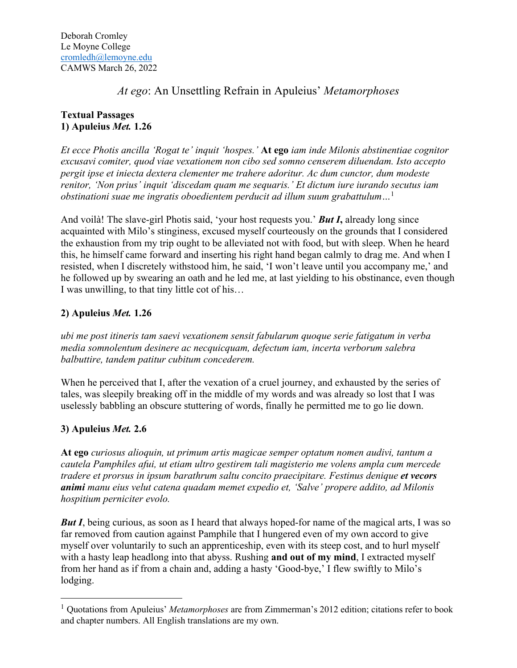# *At ego*: An Unsettling Refrain in Apuleius' *Metamorphoses*

## **Textual Passages 1) Apuleius** *Met.* **1.26**

*Et ecce Photis ancilla 'Rogat te' inquit 'hospes.'* **At ego** *iam inde Milonis abstinentiae cognitor excusavi comiter, quod viae vexationem non cibo sed somno censerem diluendam. Isto accepto pergit ipse et iniecta dextera clementer me trahere adoritur. Ac dum cunctor, dum modeste renitor, 'Non prius' inquit 'discedam quam me sequaris.' Et dictum iure iurando secutus iam obstinationi suae me ingratis oboedientem perducit ad illum suum grabattulum…*<sup>1</sup>

And voilà! The slave-girl Photis said, 'your host requests you.' *But I***,** already long since acquainted with Milo's stinginess, excused myself courteously on the grounds that I considered the exhaustion from my trip ought to be alleviated not with food, but with sleep. When he heard this, he himself came forward and inserting his right hand began calmly to drag me. And when I resisted, when I discretely withstood him, he said, 'I won't leave until you accompany me,' and he followed up by swearing an oath and he led me, at last yielding to his obstinance, even though I was unwilling, to that tiny little cot of his…

## **2) Apuleius** *Met.* **1.26**

*ubi me post itineris tam saevi vexationem sensit fabularum quoque serie fatigatum in verba media somnolentum desinere ac necquicquam, defectum iam, incerta verborum salebra balbuttire, tandem patitur cubitum concederem.*

When he perceived that I, after the vexation of a cruel journey, and exhausted by the series of tales, was sleepily breaking off in the middle of my words and was already so lost that I was uselessly babbling an obscure stuttering of words, finally he permitted me to go lie down.

# **3) Apuleius** *Met.* **2.6**

**At ego** *curiosus alioquin, ut primum artis magicae semper optatum nomen audivi, tantum a cautela Pamphiles afui, ut etiam ultro gestirem tali magisterio me volens ampla cum mercede tradere et prorsus in ipsum barathrum saltu concito praecipitare. Festinus denique et vecors animi manu eius velut catena quadam memet expedio et, 'Salve' propere addito, ad Milonis hospitium perniciter evolo.*

*But I*, being curious, as soon as I heard that always hoped-for name of the magical arts, I was so far removed from caution against Pamphile that I hungered even of my own accord to give myself over voluntarily to such an apprenticeship, even with its steep cost, and to hurl myself with a hasty leap headlong into that abyss. Rushing **and out of my mind**, I extracted myself from her hand as if from a chain and, adding a hasty 'Good-bye,' I flew swiftly to Milo's lodging.

<sup>1</sup> Quotations from Apuleius' *Metamorphoses* are from Zimmerman's 2012 edition; citations refer to book and chapter numbers. All English translations are my own.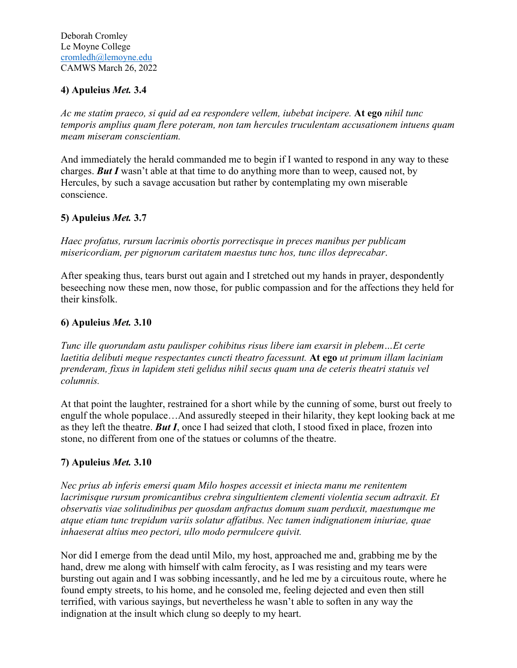### **4) Apuleius** *Met.* **3.4**

*Ac me statim praeco, si quid ad ea respondere vellem, iubebat incipere.* **At ego** *nihil tunc temporis amplius quam flere poteram, non tam hercules truculentam accusationem intuens quam meam miseram conscientiam.*

And immediately the herald commanded me to begin if I wanted to respond in any way to these charges. *But I* wasn't able at that time to do anything more than to weep, caused not, by Hercules, by such a savage accusation but rather by contemplating my own miserable conscience.

#### **5) Apuleius** *Met.* **3.7**

*Haec profatus, rursum lacrimis obortis porrectisque in preces manibus per publicam misericordiam, per pignorum caritatem maestus tunc hos, tunc illos deprecabar*.

After speaking thus, tears burst out again and I stretched out my hands in prayer, despondently beseeching now these men, now those, for public compassion and for the affections they held for their kinsfolk.

#### **6) Apuleius** *Met.* **3.10**

*Tunc ille quorundam astu paulisper cohibitus risus libere iam exarsit in plebem…Et certe laetitia delibuti meque respectantes cuncti theatro facessunt.* **At ego** *ut primum illam laciniam prenderam, fixus in lapidem steti gelidus nihil secus quam una de ceteris theatri statuis vel columnis.*

At that point the laughter, restrained for a short while by the cunning of some, burst out freely to engulf the whole populace…And assuredly steeped in their hilarity, they kept looking back at me as they left the theatre. *But I*, once I had seized that cloth, I stood fixed in place, frozen into stone, no different from one of the statues or columns of the theatre.

## **7) Apuleius** *Met.* **3.10**

*Nec prius ab inferis emersi quam Milo hospes accessit et iniecta manu me renitentem lacrimisque rursum promicantibus crebra singultientem clementi violentia secum adtraxit. Et observatis viae solitudinibus per quosdam anfractus domum suam perduxit, maestumque me atque etiam tunc trepidum variis solatur affatibus. Nec tamen indignationem iniuriae, quae inhaeserat altius meo pectori, ullo modo permulcere quivit.*

Nor did I emerge from the dead until Milo, my host, approached me and, grabbing me by the hand, drew me along with himself with calm ferocity, as I was resisting and my tears were bursting out again and I was sobbing incessantly, and he led me by a circuitous route, where he found empty streets, to his home, and he consoled me, feeling dejected and even then still terrified, with various sayings, but nevertheless he wasn't able to soften in any way the indignation at the insult which clung so deeply to my heart.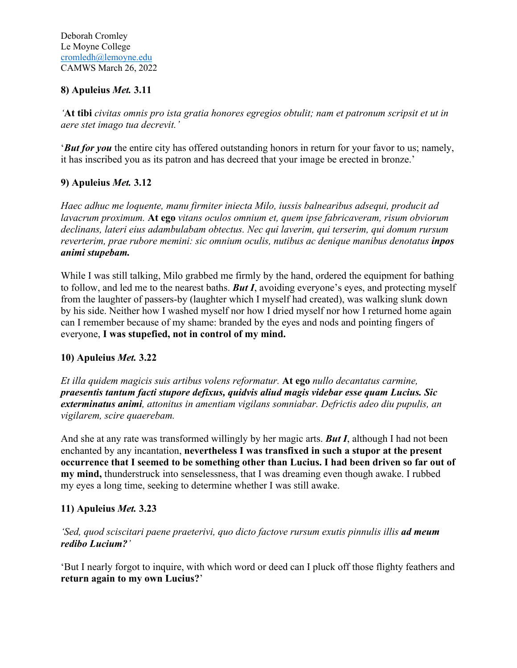### **8) Apuleius** *Met.* **3.11**

*'***At tibi** *civitas omnis pro ista gratia honores egregios obtulit; nam et patronum scripsit et ut in aere stet imago tua decrevit.'*

'*But for you* the entire city has offered outstanding honors in return for your favor to us; namely, it has inscribed you as its patron and has decreed that your image be erected in bronze.'

#### **9) Apuleius** *Met.* **3.12**

*Haec adhuc me loquente, manu firmiter iniecta Milo, iussis balnearibus adsequi, producit ad lavacrum proximum.* **At ego** *vitans oculos omnium et, quem ipse fabricaveram, risum obviorum declinans, lateri eius adambulabam obtectus. Nec qui laverim, qui terserim, qui domum rursum reverterim, prae rubore memini: sic omnium oculis, nutibus ac denique manibus denotatus inpos animi stupebam.*

While I was still talking, Milo grabbed me firmly by the hand, ordered the equipment for bathing to follow, and led me to the nearest baths. *But I*, avoiding everyone's eyes, and protecting myself from the laughter of passers-by (laughter which I myself had created), was walking slunk down by his side. Neither how I washed myself nor how I dried myself nor how I returned home again can I remember because of my shame: branded by the eyes and nods and pointing fingers of everyone, **I was stupefied, not in control of my mind.**

## **10) Apuleius** *Met.* **3.22**

*Et illa quidem magicis suis artibus volens reformatur.* **At ego** *nullo decantatus carmine, praesentis tantum facti stupore defixus, quidvis aliud magis videbar esse quam Lucius. Sic exterminatus animi, attonitus in amentiam vigilans somniabar. Defrictis adeo diu pupulis, an vigilarem, scire quaerebam.*

And she at any rate was transformed willingly by her magic arts. *But I*, although I had not been enchanted by any incantation, **nevertheless I was transfixed in such a stupor at the present occurrence that I seemed to be something other than Lucius. I had been driven so far out of my mind,** thunderstruck into senselessness, that I was dreaming even though awake. I rubbed my eyes a long time, seeking to determine whether I was still awake.

## **11) Apuleius** *Met.* **3.23**

*'Sed, quod sciscitari paene praeterivi, quo dicto factove rursum exutis pinnulis illis ad meum redibo Lucium?'*

'But I nearly forgot to inquire, with which word or deed can I pluck off those flighty feathers and **return again to my own Lucius?**'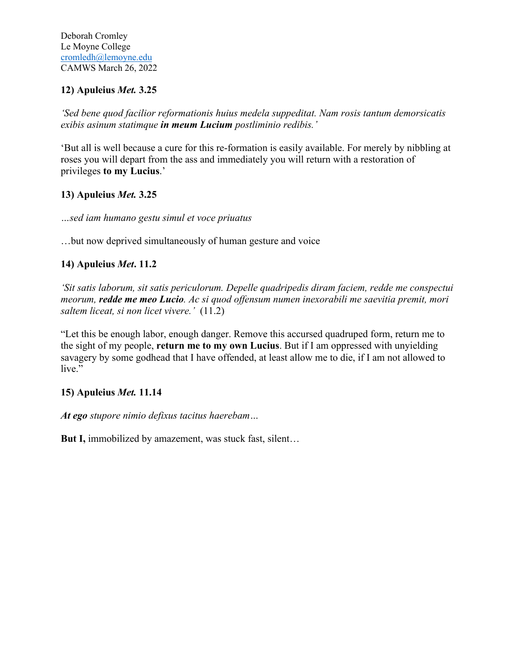## **12) Apuleius** *Met.* **3.25**

*'Sed bene quod facilior reformationis huius medela suppeditat. Nam rosis tantum demorsicatis exibis asinum statimque in meum Lucium postliminio redibis.'*

'But all is well because a cure for this re-formation is easily available. For merely by nibbling at roses you will depart from the ass and immediately you will return with a restoration of privileges **to my Lucius**.'

## **13) Apuleius** *Met.* **3.25**

*…sed iam humano gestu simul et voce priuatus*

…but now deprived simultaneously of human gesture and voice

## **14) Apuleius** *Met***. 11.2**

*'Sit satis laborum, sit satis periculorum. Depelle quadripedis diram faciem, redde me conspectui meorum, redde me meo Lucio. Ac si quod offensum numen inexorabili me saevitia premit, mori saltem liceat, si non licet vivere.'* (11.2)

"Let this be enough labor, enough danger. Remove this accursed quadruped form, return me to the sight of my people, **return me to my own Lucius**. But if I am oppressed with unyielding savagery by some godhead that I have offended, at least allow me to die, if I am not allowed to live."

## **15) Apuleius** *Met.* **11.14**

*At ego stupore nimio defixus tacitus haerebam…*

**But I,** immobilized by amazement, was stuck fast, silent…